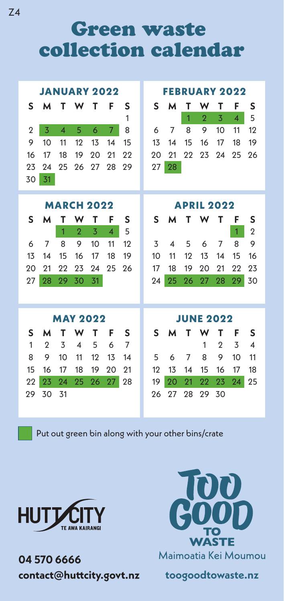Green waste collection calendar

| <b>JANUARY 2022</b> |    |    |                         |    |                          |    |  | <b>FEBRUARY 2022</b> |                  |    |                |                |                |                |  |  |  |  |
|---------------------|----|----|-------------------------|----|--------------------------|----|--|----------------------|------------------|----|----------------|----------------|----------------|----------------|--|--|--|--|
| S                   | м  | т  | W                       | Т  | F                        | S  |  | S                    | м                | т  | w              | т              | F              | S              |  |  |  |  |
|                     |    |    |                         |    |                          | 1  |  |                      |                  | 1  | $\overline{2}$ | 3              | $\overline{4}$ | 5              |  |  |  |  |
| $\overline{2}$      | 3  | 4  | 5                       | 6  | 7                        | 8  |  | 6                    | 7                | 8  | 9              | 10             | 11             | 12             |  |  |  |  |
| 9                   | 10 | 11 | 12                      | 13 | 14                       | 15 |  | 13                   | 14               | 15 | 16             | 17             | 18             | 19             |  |  |  |  |
| 16                  | 17 | 18 | 19                      | 20 | 21                       | 22 |  | 20                   | 21               | 22 | 23             | 24             | 25             | 26             |  |  |  |  |
| 23                  | 24 | 25 | 26                      | 27 | 28                       | 29 |  | 27                   | 28               |    |                |                |                |                |  |  |  |  |
| 30                  | 31 |    |                         |    |                          |    |  |                      |                  |    |                |                |                |                |  |  |  |  |
|                     |    |    |                         |    |                          |    |  |                      |                  |    |                |                |                |                |  |  |  |  |
|                     |    |    | <b>MARCH 2022</b>       |    |                          |    |  | <b>APRIL 2022</b>    |                  |    |                |                |                |                |  |  |  |  |
| S                   | м  | т  | w                       | т  | F                        | S  |  | S                    | М                | т  | w              | Т              | F              | S              |  |  |  |  |
|                     |    | 1  | $\mathcal{P}$           | 3  | $\overline{\mathcal{A}}$ | 5  |  |                      |                  |    |                |                | 1              | $\overline{2}$ |  |  |  |  |
| 6                   | 7  | 8  | 9                       | 10 | 11                       | 12 |  | 3                    | 4                | 5  | 6              | 7              | 8              | 9              |  |  |  |  |
| 13                  | 14 | 15 | 16                      | 17 | 18                       | 19 |  | 10                   | 11               | 12 | 13             | 14             | 15             | 16             |  |  |  |  |
| 20                  | 21 | 22 | 23                      | 24 | 25                       | 26 |  | 17                   | 18               | 19 | 20             | 21             | 22             | 23             |  |  |  |  |
| 27                  | 28 | 29 | 30                      | 31 |                          |    |  | 24                   | 25               | 26 | 27             | 28             | 29             | 30             |  |  |  |  |
|                     |    |    |                         |    |                          |    |  |                      |                  |    |                |                |                |                |  |  |  |  |
| <b>MAY 2022</b>     |    |    |                         |    |                          |    |  |                      | <b>JUNE 2022</b> |    |                |                |                |                |  |  |  |  |
| S                   | М  | т  | w                       | т  | F                        | S  |  | S                    | м                | т  | w              | т              | F              | S              |  |  |  |  |
| $\mathbf{1}$        | 2  | 3  | $\overline{\mathbf{A}}$ | 5  | 6                        | 7  |  |                      |                  |    | 1              | $\overline{2}$ | 3              | 4              |  |  |  |  |
| 8                   | 9  | 10 | 11                      | 12 | 13                       | 14 |  | 5                    | 6                | 7  | 8              | 9              | 10             | 11             |  |  |  |  |
|                     |    |    |                         |    |                          |    |  |                      |                  |    |                |                |                |                |  |  |  |  |
| 15                  | 16 | 17 | 18                      | 19 | 20                       | 21 |  | 12                   | 13               | 14 | 15             | 16             | 17             | 18             |  |  |  |  |
| 22                  | 23 | 94 | 25                      | 26 | 27                       | 28 |  | 19                   | 20               | 21 | 22             | 23             | 24             | 25             |  |  |  |  |
| 29                  | 30 | 31 |                         |    |                          |    |  | 26                   | 27               | 28 | 29             | 30             |                |                |  |  |  |  |

Put out green bin along with your other bins/crate



**04 570 6666**  contact@huttcity.govt.nz



**toogoodtowaste.nz**